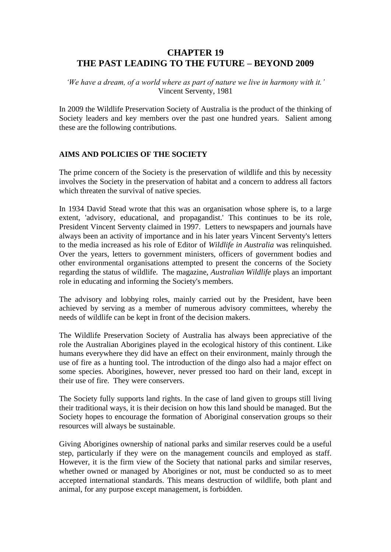# **CHAPTER 19 THE PAST LEADING TO THE FUTURE – BEYOND 2009**

*'We have a dream, of a world where as part of nature we live in harmony with it.'* Vincent Serventy, 1981

In 2009 the Wildlife Preservation Society of Australia is the product of the thinking of Society leaders and key members over the past one hundred years. Salient among these are the following contributions.

# **AIMS AND POLICIES OF THE SOCIETY**

The prime concern of the Society is the preservation of wildlife and this by necessity involves the Society in the preservation of habitat and a concern to address all factors which threaten the survival of native species.

In 1934 David Stead wrote that this was an organisation whose sphere is, to a large extent, 'advisory, educational, and propagandist.' This continues to be its role, President Vincent Serventy claimed in 1997. Letters to newspapers and journals have always been an activity of importance and in his later years Vincent Serventy's letters to the media increased as his role of Editor of *Wildlife in Australia* was relinquished. Over the years, letters to government ministers, officers of government bodies and other environmental organisations attempted to present the concerns of the Society regarding the status of wildlife. The magazine, *Australian Wildlife* plays an important role in educating and informing the Society's members.

The advisory and lobbying roles, mainly carried out by the President, have been achieved by serving as a member of numerous advisory committees, whereby the needs of wildlife can be kept in front of the decision makers.

The Wildlife Preservation Society of Australia has always been appreciative of the role the Australian Aborigines played in the ecological history of this continent. Like humans everywhere they did have an effect on their environment, mainly through the use of fire as a hunting tool. The introduction of the dingo also had a major effect on some species. Aborigines, however, never pressed too hard on their land, except in their use of fire. They were conservers.

The Society fully supports land rights. In the case of land given to groups still living their traditional ways, it is their decision on how this land should be managed. But the Society hopes to encourage the formation of Aboriginal conservation groups so their resources will always be sustainable.

Giving Aborigines ownership of national parks and similar reserves could be a useful step, particularly if they were on the management councils and employed as staff. However, it is the firm view of the Society that national parks and similar reserves, whether owned or managed by Aborigines or not, must be conducted so as to meet accepted international standards. This means destruction of wildlife, both plant and animal, for any purpose except management, is forbidden.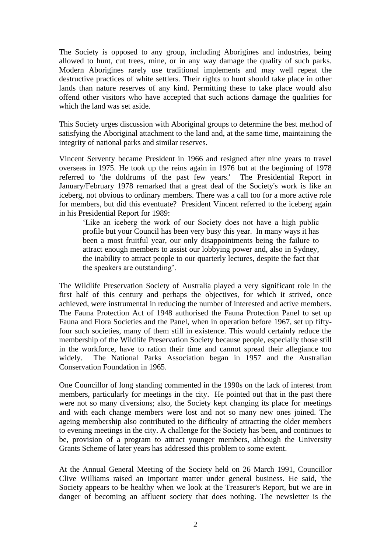The Society is opposed to any group, including Aborigines and industries, being allowed to hunt, cut trees, mine, or in any way damage the quality of such parks. Modern Aborigines rarely use traditional implements and may well repeat the destructive practices of white settlers. Their rights to hunt should take place in other lands than nature reserves of any kind. Permitting these to take place would also offend other visitors who have accepted that such actions damage the qualities for which the land was set aside.

This Society urges discussion with Aboriginal groups to determine the best method of satisfying the Aboriginal attachment to the land and, at the same time, maintaining the integrity of national parks and similar reserves.

Vincent Serventy became President in 1966 and resigned after nine years to travel overseas in 1975. He took up the reins again in 1976 but at the beginning of 1978 referred to 'the doldrums of the past few years.' The Presidential Report in January/February 1978 remarked that a great deal of the Society's work is like an iceberg, not obvious to ordinary members. There was a call too for a more active role for members, but did this eventuate? President Vincent referred to the iceberg again in his Presidential Report for 1989:

'Like an iceberg the work of our Society does not have a high public profile but your Council has been very busy this year. In many ways it has been a most fruitful year, our only disappointments being the failure to attract enough members to assist our lobbying power and, also in Sydney, the inability to attract people to our quarterly lectures, despite the fact that the speakers are outstanding'.

The Wildlife Preservation Society of Australia played a very significant role in the first half of this century and perhaps the objectives, for which it strived, once achieved, were instrumental in reducing the number of interested and active members. The Fauna Protection Act of 1948 authorised the Fauna Protection Panel to set up Fauna and Flora Societies and the Panel, when in operation before 1967, set up fiftyfour such societies, many of them still in existence. This would certainly reduce the membership of the Wildlife Preservation Society because people, especially those still in the workforce, have to ration their time and cannot spread their allegiance too widely. The National Parks Association began in 1957 and the Australian Conservation Foundation in 1965.

One Councillor of long standing commented in the 1990s on the lack of interest from members, particularly for meetings in the city. He pointed out that in the past there were not so many diversions; also, the Society kept changing its place for meetings and with each change members were lost and not so many new ones joined. The ageing membership also contributed to the difficulty of attracting the older members to evening meetings in the city. A challenge for the Society has been, and continues to be, provision of a program to attract younger members, although the University Grants Scheme of later years has addressed this problem to some extent.

At the Annual General Meeting of the Society held on 26 March 1991, Councillor Clive Williams raised an important matter under general business. He said, 'the Society appears to be healthy when we look at the Treasurer's Report, but we are in danger of becoming an affluent society that does nothing. The newsletter is the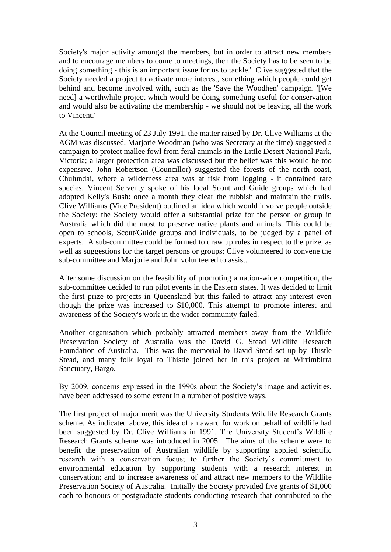Society's major activity amongst the members, but in order to attract new members and to encourage members to come to meetings, then the Society has to be seen to be doing something - this is an important issue for us to tackle.' Clive suggested that the Society needed a project to activate more interest, something which people could get behind and become involved with, such as the 'Save the Woodhen' campaign. '[We need] a worthwhile project which would be doing something useful for conservation and would also be activating the membership - we should not be leaving all the work to Vincent.'

At the Council meeting of 23 July 1991, the matter raised by Dr. Clive Williams at the AGM was discussed. Marjorie Woodman (who was Secretary at the time) suggested a campaign to protect mallee fowl from feral animals in the Little Desert National Park, Victoria; a larger protection area was discussed but the belief was this would be too expensive. John Robertson (Councillor) suggested the forests of the north coast, Chulundai, where a wilderness area was at risk from logging - it contained rare species. Vincent Serventy spoke of his local Scout and Guide groups which had adopted Kelly's Bush: once a month they clear the rubbish and maintain the trails. Clive Williams (Vice President) outlined an idea which would involve people outside the Society: the Society would offer a substantial prize for the person or group in Australia which did the most to preserve native plants and animals. This could be open to schools, Scout/Guide groups and individuals, to be judged by a panel of experts. A sub-committee could be formed to draw up rules in respect to the prize, as well as suggestions for the target persons or groups; Clive volunteered to convene the sub-committee and Marjorie and John volunteered to assist.

After some discussion on the feasibility of promoting a nation-wide competition, the sub-committee decided to run pilot events in the Eastern states. It was decided to limit the first prize to projects in Queensland but this failed to attract any interest even though the prize was increased to \$10,000. This attempt to promote interest and awareness of the Society's work in the wider community failed.

Another organisation which probably attracted members away from the Wildlife Preservation Society of Australia was the David G. Stead Wildlife Research Foundation of Australia. This was the memorial to David Stead set up by Thistle Stead, and many folk loyal to Thistle joined her in this project at Wirrimbirra Sanctuary, Bargo.

By 2009, concerns expressed in the 1990s about the Society's image and activities, have been addressed to some extent in a number of positive ways.

The first project of major merit was the University Students Wildlife Research Grants scheme. As indicated above, this idea of an award for work on behalf of wildlife had been suggested by Dr. Clive Williams in 1991. The University Student's Wildlife Research Grants scheme was introduced in 2005. The aims of the scheme were to benefit the preservation of Australian wildlife by supporting applied scientific research with a conservation focus; to further the Society's commitment to environmental education by supporting students with a research interest in conservation; and to increase awareness of and attract new members to the Wildlife Preservation Society of Australia. Initially the Society provided five grants of \$1,000 each to honours or postgraduate students conducting research that contributed to the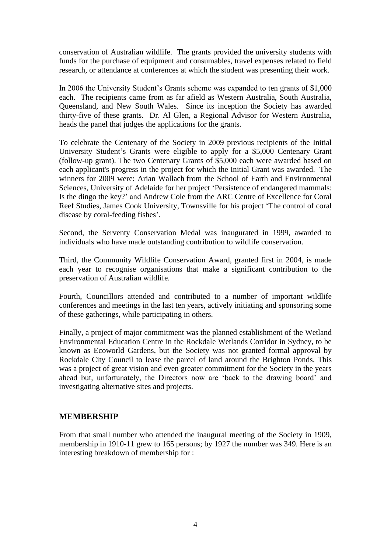conservation of Australian wildlife. The grants provided the university students with funds for the purchase of equipment and consumables, travel expenses related to field research, or attendance at conferences at which the student was presenting their work.

In 2006 the University Student's Grants scheme was expanded to ten grants of \$1,000 each. The recipients came from as far afield as Western Australia, South Australia, Queensland, and New South Wales. Since its inception the Society has awarded thirty-five of these grants. Dr. Al Glen, a Regional Advisor for Western Australia, heads the panel that judges the applications for the grants.

To celebrate the Centenary of the Society in 2009 previous recipients of the Initial University Student's Grants were eligible to apply for a \$5,000 Centenary Grant (follow-up grant). The two Centenary Grants of \$5,000 each were awarded based on each applicant's progress in the project for which the Initial Grant was awarded. The winners for 2009 were: Arian Wallach from the School of Earth and Environmental Sciences, University of Adelaide for her project 'Persistence of endangered mammals: Is the dingo the key?' and Andrew Cole from the ARC Centre of Excellence for Coral Reef Studies, James Cook University, Townsville for his project 'The control of coral disease by coral-feeding fishes'.

Second, the Serventy Conservation Medal was inaugurated in 1999, awarded to individuals who have made outstanding contribution to wildlife conservation.

Third, the Community Wildlife Conservation Award, granted first in 2004, is made each year to recognise organisations that make a significant contribution to the preservation of Australian wildlife.

Fourth, Councillors attended and contributed to a number of important wildlife conferences and meetings in the last ten years, actively initiating and sponsoring some of these gatherings, while participating in others.

Finally, a project of major commitment was the planned establishment of the Wetland Environmental Education Centre in the Rockdale Wetlands Corridor in Sydney, to be known as Ecoworld Gardens, but the Society was not granted formal approval by Rockdale City Council to lease the parcel of land around the Brighton Ponds. This was a project of great vision and even greater commitment for the Society in the years ahead but, unfortunately, the Directors now are 'back to the drawing board' and investigating alternative sites and projects.

# **MEMBERSHIP**

From that small number who attended the inaugural meeting of the Society in 1909, membership in 1910-11 grew to 165 persons; by 1927 the number was 349. Here is an interesting breakdown of membership for :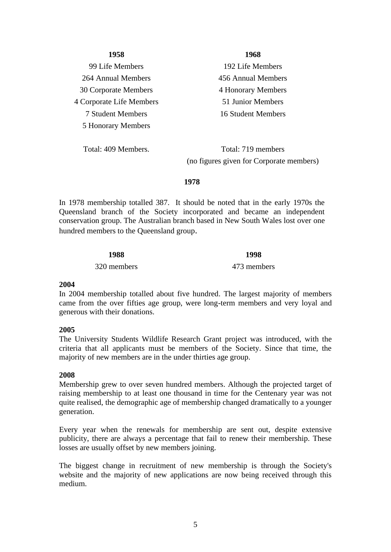#### **1958**

99 Life Members 264 Annual Members 30 Corporate Members 4 Corporate Life Members 7 Student Members 5 Honorary Members

Total: 409 Members.

**1968**

192 Life Members 456 Annual Members 4 Honorary Members 51 Junior Members 16 Student Members

Total: 719 members (no figures given for Corporate members)

#### **1978**

In 1978 membership totalled 387. It should be noted that in the early 1970s the Queensland branch of the Society incorporated and became an independent conservation group. The Australian branch based in New South Wales lost over one hundred members to the Queensland group.

#### **1988**

320 members

**1998**

### 473 members

#### **2004**

In 2004 membership totalled about five hundred. The largest majority of members came from the over fifties age group, were long-term members and very loyal and generous with their donations.

### **2005**

The University Students Wildlife Research Grant project was introduced, with the criteria that all applicants must be members of the Society. Since that time, the majority of new members are in the under thirties age group.

### **2008**

Membership grew to over seven hundred members. Although the projected target of raising membership to at least one thousand in time for the Centenary year was not quite realised, the demographic age of membership changed dramatically to a younger generation.

Every year when the renewals for membership are sent out, despite extensive publicity, there are always a percentage that fail to renew their membership. These losses are usually offset by new members joining.

The biggest change in recruitment of new membership is through the Society's website and the majority of new applications are now being received through this medium.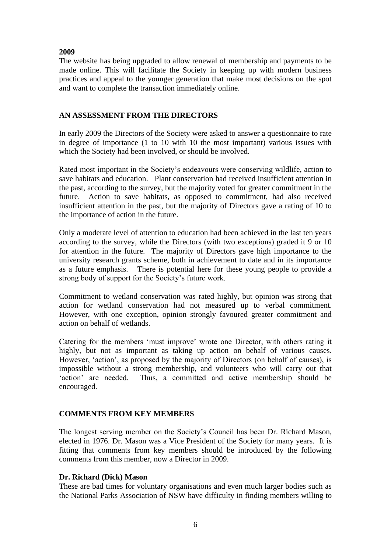# **2009**

The website has being upgraded to allow renewal of membership and payments to be made online. This will facilitate the Society in keeping up with modern business practices and appeal to the younger generation that make most decisions on the spot and want to complete the transaction immediately online.

# **AN ASSESSMENT FROM THE DIRECTORS**

In early 2009 the Directors of the Society were asked to answer a questionnaire to rate in degree of importance (1 to 10 with 10 the most important) various issues with which the Society had been involved, or should be involved.

Rated most important in the Society's endeavours were conserving wildlife, action to save habitats and education. Plant conservation had received insufficient attention in the past, according to the survey, but the majority voted for greater commitment in the future. Action to save habitats, as opposed to commitment, had also received insufficient attention in the past, but the majority of Directors gave a rating of 10 to the importance of action in the future.

Only a moderate level of attention to education had been achieved in the last ten years according to the survey, while the Directors (with two exceptions) graded it 9 or 10 for attention in the future. The majority of Directors gave high importance to the university research grants scheme, both in achievement to date and in its importance as a future emphasis. There is potential here for these young people to provide a strong body of support for the Society's future work.

Commitment to wetland conservation was rated highly, but opinion was strong that action for wetland conservation had not measured up to verbal commitment. However, with one exception, opinion strongly favoured greater commitment and action on behalf of wetlands.

Catering for the members 'must improve' wrote one Director, with others rating it highly, but not as important as taking up action on behalf of various causes. However, 'action', as proposed by the majority of Directors (on behalf of causes), is impossible without a strong membership, and volunteers who will carry out that 'action' are needed. Thus, a committed and active membership should be encouraged.

### **COMMENTS FROM KEY MEMBERS**

The longest serving member on the Society's Council has been Dr. Richard Mason, elected in 1976. Dr. Mason was a Vice President of the Society for many years. It is fitting that comments from key members should be introduced by the following comments from this member, now a Director in 2009.

### **Dr. Richard (Dick) Mason**

These are bad times for voluntary organisations and even much larger bodies such as the National Parks Association of NSW have difficulty in finding members willing to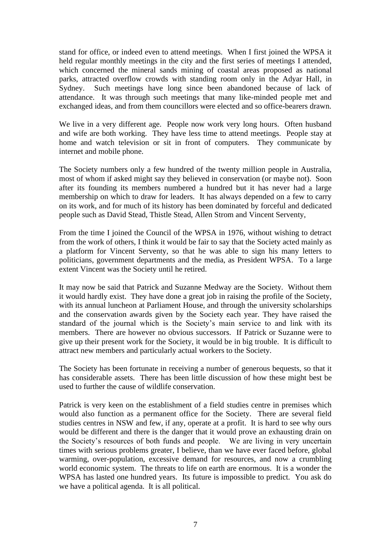stand for office, or indeed even to attend meetings. When I first joined the WPSA it held regular monthly meetings in the city and the first series of meetings I attended, which concerned the mineral sands mining of coastal areas proposed as national parks, attracted overflow crowds with standing room only in the Adyar Hall, in Sydney. Such meetings have long since been abandoned because of lack of attendance. It was through such meetings that many like-minded people met and exchanged ideas, and from them councillors were elected and so office-bearers drawn.

We live in a very different age. People now work very long hours. Often husband and wife are both working. They have less time to attend meetings. People stay at home and watch television or sit in front of computers. They communicate by internet and mobile phone.

The Society numbers only a few hundred of the twenty million people in Australia, most of whom if asked might say they believed in conservation (or maybe not). Soon after its founding its members numbered a hundred but it has never had a large membership on which to draw for leaders. It has always depended on a few to carry on its work, and for much of its history has been dominated by forceful and dedicated people such as David Stead, Thistle Stead, Allen Strom and Vincent Serventy,

From the time I joined the Council of the WPSA in 1976, without wishing to detract from the work of others, I think it would be fair to say that the Society acted mainly as a platform for Vincent Serventy, so that he was able to sign his many letters to politicians, government departments and the media, as President WPSA. To a large extent Vincent was the Society until he retired.

It may now be said that Patrick and Suzanne Medway are the Society. Without them it would hardly exist. They have done a great job in raising the profile of the Society, with its annual luncheon at Parliament House, and through the university scholarships and the conservation awards given by the Society each year. They have raised the standard of the journal which is the Society's main service to and link with its members. There are however no obvious successors. If Patrick or Suzanne were to give up their present work for the Society, it would be in big trouble. It is difficult to attract new members and particularly actual workers to the Society.

The Society has been fortunate in receiving a number of generous bequests, so that it has considerable assets. There has been little discussion of how these might best be used to further the cause of wildlife conservation.

Patrick is very keen on the establishment of a field studies centre in premises which would also function as a permanent office for the Society. There are several field studies centres in NSW and few, if any, operate at a profit. It is hard to see why ours would be different and there is the danger that it would prove an exhausting drain on the Society's resources of both funds and people. We are living in very uncertain times with serious problems greater, I believe, than we have ever faced before, global warming, over-population, excessive demand for resources, and now a crumbling world economic system. The threats to life on earth are enormous. It is a wonder the WPSA has lasted one hundred years. Its future is impossible to predict. You ask do we have a political agenda. It is all political.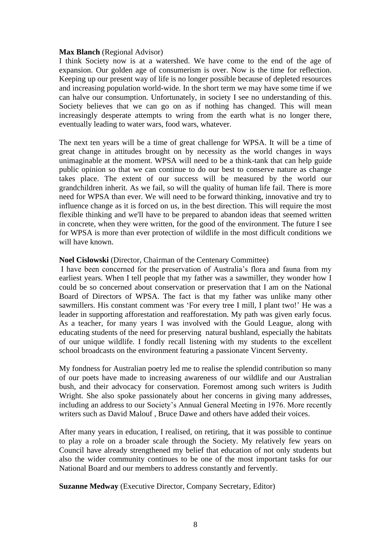#### **Max Blanch** (Regional Advisor)

I think Society now is at a watershed. We have come to the end of the age of expansion. Our golden age of consumerism is over. Now is the time for reflection. Keeping up our present way of life is no longer possible because of depleted resources and increasing population world-wide. In the short term we may have some time if we can halve our consumption. Unfortunately, in society I see no understanding of this. Society believes that we can go on as if nothing has changed. This will mean increasingly desperate attempts to wring from the earth what is no longer there, eventually leading to water wars, food wars, whatever.

The next ten years will be a time of great challenge for WPSA. It will be a time of great change in attitudes brought on by necessity as the world changes in ways unimaginable at the moment. WPSA will need to be a think-tank that can help guide public opinion so that we can continue to do our best to conserve nature as change takes place. The extent of our success will be measured by the world our grandchildren inherit. As we fail, so will the quality of human life fail. There is more need for WPSA than ever. We will need to be forward thinking, innovative and try to influence change as it is forced on us, in the best direction. This will require the most flexible thinking and we'll have to be prepared to abandon ideas that seemed written in concrete, when they were written, for the good of the environment. The future I see for WPSA is more than ever protection of wildlife in the most difficult conditions we will have known.

#### **Noel Cislowski** (Director, Chairman of the Centenary Committee)

I have been concerned for the preservation of Australia's flora and fauna from my earliest years. When I tell people that my father was a sawmiller, they wonder how I could be so concerned about conservation or preservation that I am on the National Board of Directors of WPSA. The fact is that my father was unlike many other sawmillers. His constant comment was 'For every tree I mill, I plant two!' He was a leader in supporting afforestation and reafforestation. My path was given early focus. As a teacher, for many years I was involved with the Gould League, along with educating students of the need for preserving natural bushland, especially the habitats of our unique wildlife. I fondly recall listening with my students to the excellent school broadcasts on the environment featuring a passionate Vincent Serventy.

My fondness for Australian poetry led me to realise the splendid contribution so many of our poets have made to increasing awareness of our wildlife and our Australian bush, and their advocacy for conservation. Foremost among such writers is Judith Wright. She also spoke passionately about her concerns in giving many addresses, including an address to our Society's Annual General Meeting in 1976. More recently writers such as David Malouf , Bruce Dawe and others have added their voices.

After many years in education, I realised, on retiring, that it was possible to continue to play a role on a broader scale through the Society. My relatively few years on Council have already strengthened my belief that education of not only students but also the wider community continues to be one of the most important tasks for our National Board and our members to address constantly and fervently.

**Suzanne Medway** (Executive Director, Company Secretary, Editor)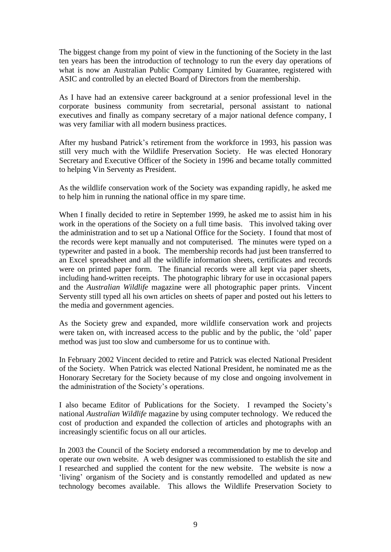The biggest change from my point of view in the functioning of the Society in the last ten years has been the introduction of technology to run the every day operations of what is now an Australian Public Company Limited by Guarantee, registered with ASIC and controlled by an elected Board of Directors from the membership.

As I have had an extensive career background at a senior professional level in the corporate business community from secretarial, personal assistant to national executives and finally as company secretary of a major national defence company, I was very familiar with all modern business practices.

After my husband Patrick's retirement from the workforce in 1993, his passion was still very much with the Wildlife Preservation Society. He was elected Honorary Secretary and Executive Officer of the Society in 1996 and became totally committed to helping Vin Serventy as President.

As the wildlife conservation work of the Society was expanding rapidly, he asked me to help him in running the national office in my spare time.

When I finally decided to retire in September 1999, he asked me to assist him in his work in the operations of the Society on a full time basis. This involved taking over the administration and to set up a National Office for the Society. I found that most of the records were kept manually and not computerised. The minutes were typed on a typewriter and pasted in a book. The membership records had just been transferred to an Excel spreadsheet and all the wildlife information sheets, certificates and records were on printed paper form. The financial records were all kept via paper sheets, including hand-written receipts. The photographic library for use in occasional papers and the *Australian Wildlife* magazine were all photographic paper prints. Vincent Serventy still typed all his own articles on sheets of paper and posted out his letters to the media and government agencies.

As the Society grew and expanded, more wildlife conservation work and projects were taken on, with increased access to the public and by the public, the 'old' paper method was just too slow and cumbersome for us to continue with.

In February 2002 Vincent decided to retire and Patrick was elected National President of the Society. When Patrick was elected National President, he nominated me as the Honorary Secretary for the Society because of my close and ongoing involvement in the administration of the Society's operations.

I also became Editor of Publications for the Society. I revamped the Society's national *Australian Wildlife* magazine by using computer technology. We reduced the cost of production and expanded the collection of articles and photographs with an increasingly scientific focus on all our articles.

In 2003 the Council of the Society endorsed a recommendation by me to develop and operate our own website. A web designer was commissioned to establish the site and I researched and supplied the content for the new website. The website is now a 'living' organism of the Society and is constantly remodelled and updated as new technology becomes available. This allows the Wildlife Preservation Society to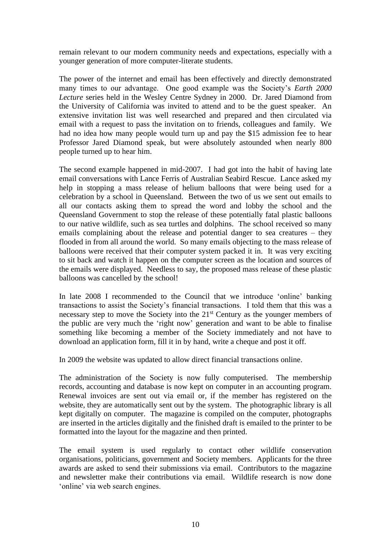remain relevant to our modern community needs and expectations, especially with a younger generation of more computer-literate students.

The power of the internet and email has been effectively and directly demonstrated many times to our advantage. One good example was the Society's *Earth 2000 Lecture* series held in the Wesley Centre Sydney in 2000. Dr. Jared Diamond from the University of California was invited to attend and to be the guest speaker. An extensive invitation list was well researched and prepared and then circulated via email with a request to pass the invitation on to friends, colleagues and family. We had no idea how many people would turn up and pay the \$15 admission fee to hear Professor Jared Diamond speak, but were absolutely astounded when nearly 800 people turned up to hear him.

The second example happened in mid-2007. I had got into the habit of having late email conversations with Lance Ferris of Australian Seabird Rescue. Lance asked my help in stopping a mass release of helium balloons that were being used for a celebration by a school in Queensland. Between the two of us we sent out emails to all our contacts asking them to spread the word and lobby the school and the Queensland Government to stop the release of these potentially fatal plastic balloons to our native wildlife, such as sea turtles and dolphins. The school received so many emails complaining about the release and potential danger to sea creatures – they flooded in from all around the world. So many emails objecting to the mass release of balloons were received that their computer system packed it in. It was very exciting to sit back and watch it happen on the computer screen as the location and sources of the emails were displayed. Needless to say, the proposed mass release of these plastic balloons was cancelled by the school!

In late 2008 I recommended to the Council that we introduce 'online' banking transactions to assist the Society's financial transactions. I told them that this was a necessary step to move the Society into the  $21<sup>st</sup>$  Century as the younger members of the public are very much the 'right now' generation and want to be able to finalise something like becoming a member of the Society immediately and not have to download an application form, fill it in by hand, write a cheque and post it off.

In 2009 the website was updated to allow direct financial transactions online.

The administration of the Society is now fully computerised. The membership records, accounting and database is now kept on computer in an accounting program. Renewal invoices are sent out via email or, if the member has registered on the website, they are automatically sent out by the system. The photographic library is all kept digitally on computer. The magazine is compiled on the computer, photographs are inserted in the articles digitally and the finished draft is emailed to the printer to be formatted into the layout for the magazine and then printed.

The email system is used regularly to contact other wildlife conservation organisations, politicians, government and Society members. Applicants for the three awards are asked to send their submissions via email. Contributors to the magazine and newsletter make their contributions via email. Wildlife research is now done 'online' via web search engines.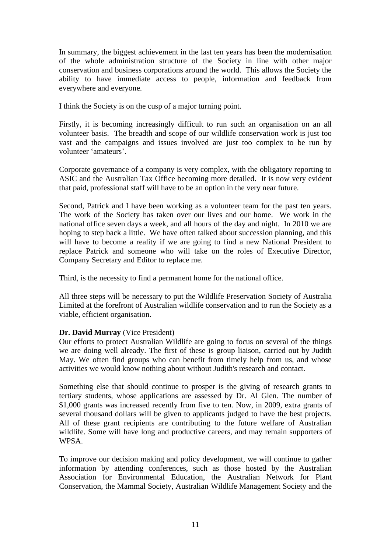In summary, the biggest achievement in the last ten years has been the modernisation of the whole administration structure of the Society in line with other major conservation and business corporations around the world. This allows the Society the ability to have immediate access to people, information and feedback from everywhere and everyone.

I think the Society is on the cusp of a major turning point.

Firstly, it is becoming increasingly difficult to run such an organisation on an all volunteer basis. The breadth and scope of our wildlife conservation work is just too vast and the campaigns and issues involved are just too complex to be run by volunteer 'amateurs'.

Corporate governance of a company is very complex, with the obligatory reporting to ASIC and the Australian Tax Office becoming more detailed. It is now very evident that paid, professional staff will have to be an option in the very near future.

Second, Patrick and I have been working as a volunteer team for the past ten years. The work of the Society has taken over our lives and our home. We work in the national office seven days a week, and all hours of the day and night. In 2010 we are hoping to step back a little. We have often talked about succession planning, and this will have to become a reality if we are going to find a new National President to replace Patrick and someone who will take on the roles of Executive Director, Company Secretary and Editor to replace me.

Third, is the necessity to find a permanent home for the national office.

All three steps will be necessary to put the Wildlife Preservation Society of Australia Limited at the forefront of Australian wildlife conservation and to run the Society as a viable, efficient organisation.

# **Dr. David Murray** (Vice President)

Our efforts to protect Australian Wildlife are going to focus on several of the things we are doing well already. The first of these is group liaison, carried out by Judith May. We often find groups who can benefit from timely help from us, and whose activities we would know nothing about without Judith's research and contact.

Something else that should continue to prosper is the giving of research grants to tertiary students, whose applications are assessed by Dr. Al Glen. The number of \$1,000 grants was increased recently from five to ten. Now, in 2009, extra grants of several thousand dollars will be given to applicants judged to have the best projects. All of these grant recipients are contributing to the future welfare of Australian wildlife. Some will have long and productive careers, and may remain supporters of WPSA.

To improve our decision making and policy development, we will continue to gather information by attending conferences, such as those hosted by the Australian Association for Environmental Education, the Australian Network for Plant Conservation, the Mammal Society, Australian Wildlife Management Society and the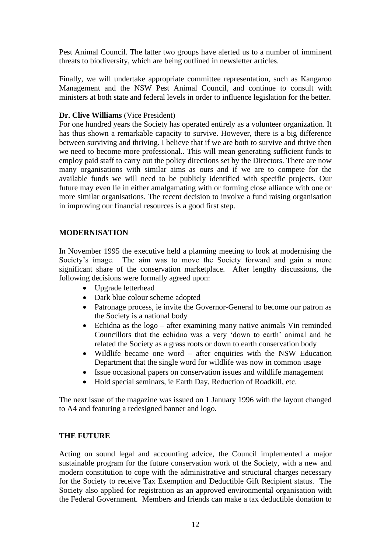Pest Animal Council. The latter two groups have alerted us to a number of imminent threats to biodiversity, which are being outlined in newsletter articles.

Finally, we will undertake appropriate committee representation, such as Kangaroo Management and the NSW Pest Animal Council, and continue to consult with ministers at both state and federal levels in order to influence legislation for the better.

### **Dr. Clive Williams** (Vice President)

For one hundred years the Society has operated entirely as a volunteer organization. It has thus shown a remarkable capacity to survive. However, there is a big difference between surviving and thriving. I believe that if we are both to survive and thrive then we need to become more professional.. This will mean generating sufficient funds to employ paid staff to carry out the policy directions set by the Directors. There are now many organisations with similar aims as ours and if we are to compete for the available funds we will need to be publicly identified with specific projects. Our future may even lie in either amalgamating with or forming close alliance with one or more similar organisations. The recent decision to involve a fund raising organisation in improving our financial resources is a good first step.

### **MODERNISATION**

In November 1995 the executive held a planning meeting to look at modernising the Society's image. The aim was to move the Society forward and gain a more significant share of the conservation marketplace. After lengthy discussions, the following decisions were formally agreed upon:

- Upgrade letterhead
- Dark blue colour scheme adopted
- Patronage process, ie invite the Governor-General to become our patron as the Society is a national body
- Echidna as the logo after examining many native animals Vin reminded Councillors that the echidna was a very 'down to earth' animal and he related the Society as a grass roots or down to earth conservation body
- Wildlife became one word after enquiries with the NSW Education Department that the single word for wildlife was now in common usage
- Issue occasional papers on conservation issues and wildlife management
- Hold special seminars, ie Earth Day, Reduction of Roadkill, etc.

The next issue of the magazine was issued on 1 January 1996 with the layout changed to A4 and featuring a redesigned banner and logo.

# **THE FUTURE**

Acting on sound legal and accounting advice, the Council implemented a major sustainable program for the future conservation work of the Society, with a new and modern constitution to cope with the administrative and structural charges necessary for the Society to receive Tax Exemption and Deductible Gift Recipient status. The Society also applied for registration as an approved environmental organisation with the Federal Government. Members and friends can make a tax deductible donation to